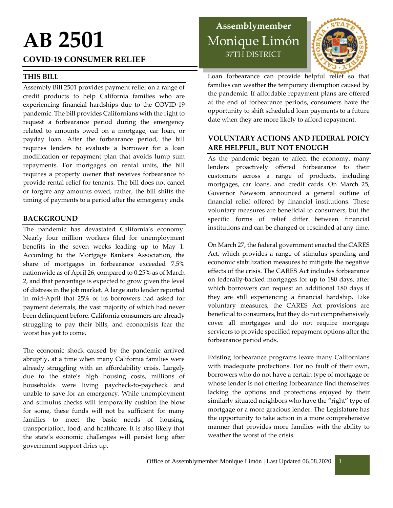# **AB 2501**

#### **COVID-19 CONSUMER RELIEF**

#### **THIS BILL**

Assembly Bill 2501 provides payment relief on a range of credit products to help California families who are experiencing financial hardships due to the COVID-19 pandemic. The bill provides Californians with the right to request a forbearance period during the emergency related to amounts owed on a mortgage, car loan, or payday loan. After the forbearance period, the bill requires lenders to evaluate a borrower for a loan modification or repayment plan that avoids lump sum repayments. For mortgages on rental units, the bill requires a property owner that receives forbearance to provide rental relief for tenants. The bill does not cancel or forgive any amounts owed; rather, the bill shifts the timing of payments to a period after the emergency ends.

#### **BACKGROUND**

The pandemic has devastated California's economy. Nearly four million workers filed for unemployment benefits in the seven weeks leading up to May 1. According to the Mortgage Bankers Association, the share of mortgages in forbearance exceeded 7.5% nationwide as of April 26, compared to 0.25% as of March 2, and that percentage is expected to grow given the level of distress in the job market. A large auto lender reported in mid-April that 25% of its borrowers had asked for payment deferrals, the vast majority of which had never been delinquent before. California consumers are already struggling to pay their bills, and economists fear the worst has yet to come.

The economic shock caused by the pandemic arrived abruptly, at a time when many California families were already struggling with an affordability crisis. Largely due to the state's high housing costs, millions of households were living paycheck-to-paycheck and unable to save for an emergency. While unemployment and stimulus checks will temporarily cushion the blow for some, these funds will not be sufficient for many families to meet the basic needs of housing, transportation, food, and healthcare. It is also likely that the state's economic challenges will persist long after government support dries up.

## **Assemblymember** Monique Limón 37TH DISTRICT



Loan forbearance can provide helpful relief so that families can weather the temporary disruption caused by the pandemic. If affordable repayment plans are offered at the end of forbearance periods, consumers have the opportunity to shift scheduled loan payments to a future date when they are more likely to afford repayment.

#### **VOLUNTARY ACTIONS AND FEDERAL POICY ARE HELPFUL, BUT NOT ENOUGH**

As the pandemic began to affect the economy, many lenders proactively offered forbearance to their customers across a range of products, including mortgages, car loans, and credit cards. On March 25, Governor Newsom announced a general outline of financial relief offered by financial institutions. These voluntary measures are beneficial to consumers, but the specific forms of relief differ between financial institutions and can be changed or rescinded at any time.

On March 27, the federal government enacted the CARES Act, which provides a range of stimulus spending and economic stabilization measures to mitigate the negative effects of the crisis. The CARES Act includes forbearance on federally-backed mortgages for up to 180 days, after which borrowers can request an additional 180 days if they are still experiencing a financial hardship. Like voluntary measures, the CARES Act provisions are beneficial to consumers, but they do not comprehensively cover all mortgages and do not require mortgage servicers to provide specified repayment options after the forbearance period ends.

Existing forbearance programs leave many Californians with inadequate protections. For no fault of their own, borrowers who do not have a certain type of mortgage or whose lender is not offering forbearance find themselves lacking the options and protections enjoyed by their similarly situated neighbors who have the "right" type of mortgage or a more gracious lender. The Legislature has the opportunity to take action in a more comprehensive manner that provides more families with the ability to weather the worst of the crisis.